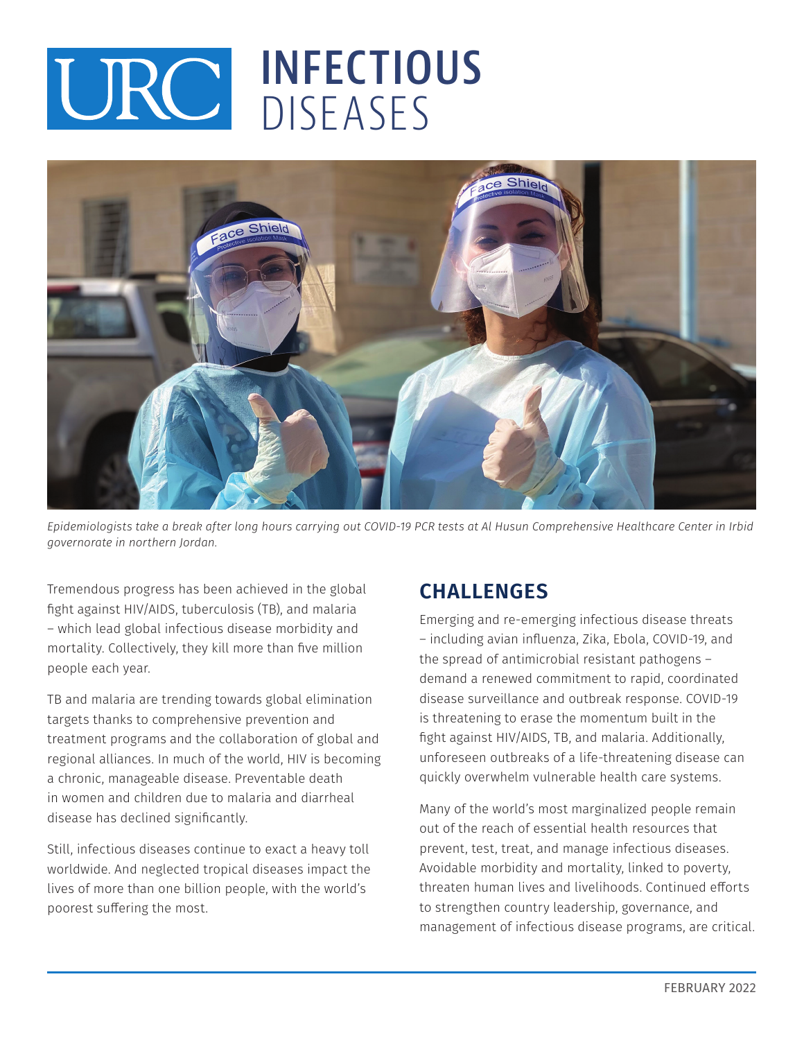## **INFECTIOUS**  URC INFECTIV



*Epidemiologists take a break after long hours carrying out COVID-19 PCR tests at Al Husun Comprehensive Healthcare Center in Irbid governorate in northern Jordan.* 

Tremendous progress has been achieved in the global fight against HIV/AIDS, tuberculosis (TB), and malaria – which lead global infectious disease morbidity and mortality. Collectively, they kill more than five million people each year.

TB and malaria are trending towards global elimination targets thanks to comprehensive prevention and treatment programs and the collaboration of global and regional alliances. In much of the world, HIV is becoming a chronic, manageable disease. Preventable death in women and children due to malaria and diarrheal disease has declined significantly.

Still, infectious diseases continue to exact a heavy toll worldwide. And neglected tropical diseases impact the lives of more than one billion people, with the world's poorest suffering the most.

## **CHALLENGES**

Emerging and re-emerging infectious disease threats – including avian influenza, Zika, Ebola, COVID-19, and the spread of antimicrobial resistant pathogens – demand a renewed commitment to rapid, coordinated disease surveillance and outbreak response. COVID-19 is threatening to erase the momentum built in the fight against HIV/AIDS, TB, and malaria. Additionally, unforeseen outbreaks of a life-threatening disease can quickly overwhelm vulnerable health care systems.

Many of the world's most marginalized people remain out of the reach of essential health resources that prevent, test, treat, and manage infectious diseases. Avoidable morbidity and mortality, linked to poverty, threaten human lives and livelihoods. Continued efforts to strengthen country leadership, governance, and management of infectious disease programs, are critical.